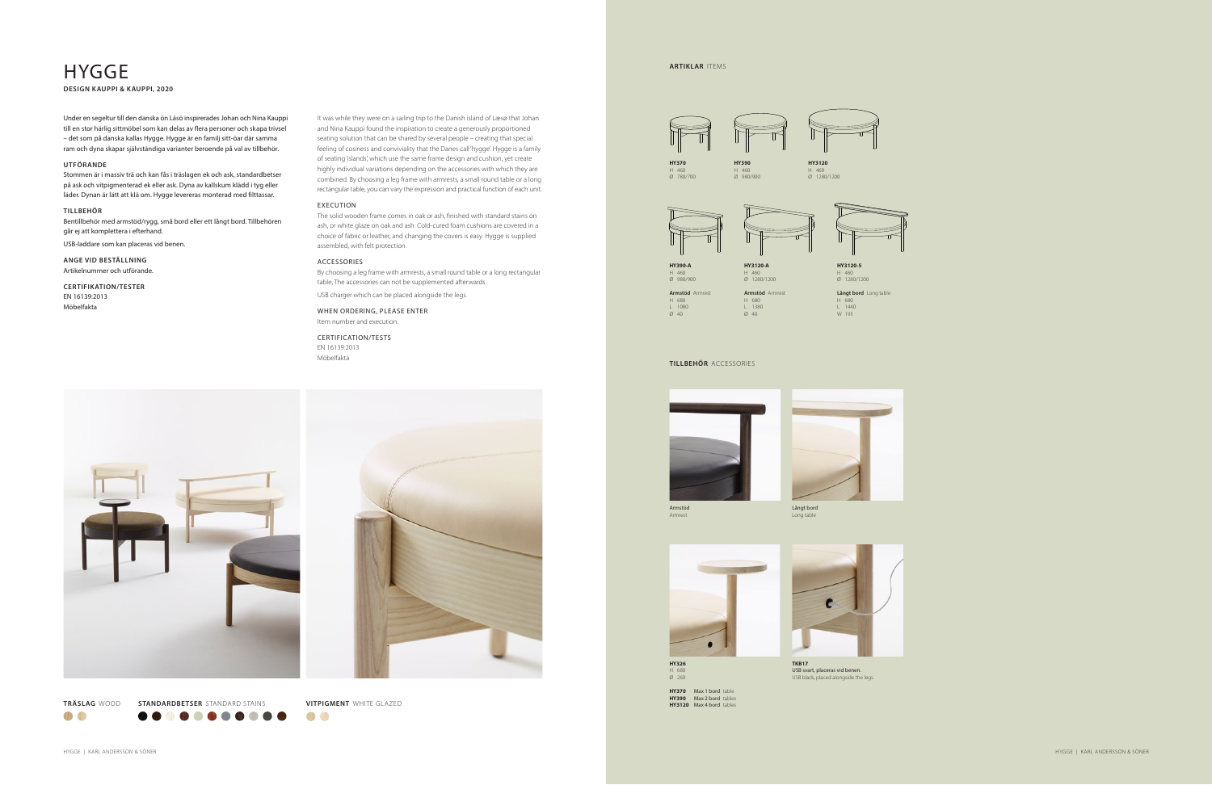HYGGE | KARL ANDERSSON & SÖNER

**OD 8** 



HYGGE | KARL ANDERSSON & SÖNER

H 460 Ø 780/700

**HY390-A** H 460 Ø 980/900



**Armstöd** Armrest H 680 L 1080 Ø 40



**HY326** H 680  $\overline{\emptyset}$  260

H 460 Ø 980/900

**HY3120-A** H 460 Ø 1280/1200

**Armstöd** Armrest H 680 L 1380 Ø 40

H 460 Ø 1280/1200





H 460 Ø 1280/1200

## **HYGGE DESIGN KAUPPI & KAUPPI, 2020**

**Långt bord** Long table H 680 L 1440 W 195

**HY370** Max 1 bord table **HY390** Max 2 bord tables **HY3120** Max 4 bord tables



**TKB17** USB svart, placeras vid benen. USB black, placed alongside the legs.

#### **TILLBEHÖR** ACCESSORIES





Armstöd Armrest

Långt bord Long table



It was while they were on a sailing trip to the Danish island of Læsø that Johan and Nina Kauppi found the inspiration to create a generously proportioned seating solution that can be shared by several people – creating that special feeling of cosiness and conviviality that the Danes call 'hygge'. Hygge is a family of seating 'islands', which use the same frame design and cushion, yet create highly individual variations depending on the accessories with which they are combined. By choosing a leg frame with armrests, a small round table or a long rectangular table, you can vary the expression and practical function of each unit.

#### EXECUTION

The solid wooden frame comes in oak or ash, finished with standard stains on ash, or white glaze on oak and ash. Cold-cured foam cushions are covered in a choice of fabric or leather, and changing the covers is easy. Hygge is supplied assembled, with felt protection.

#### ACCESSORIES

By choosing a leg frame with armrests, a small round table or a long rectangular table, The accessories can not be supplemented afterwards.

USB charger which can be placed alongside the legs.

WHEN ORDERING, PLEASE ENTER Item number and execution.

### CERTIFICATION/TESTS

EN 16139:2013 Möbelfakta



Under en segeltur till den danska ön Läsö inspirerades Johan och Nina Kauppi till en stor härlig sittmöbel som kan delas av flera personer och skapa trivsel – det som på danska kallas Hygge. Hygge är en familj sitt-öar där samma ram och dyna skapar självständiga varianter beroende på val av tillbehör.

#### **UTFÖRANDE**

Stommen är i massiv trä och kan fås i träslagen ek och ask, standardbetser på ask och vitpigmenterad ek eller ask. Dyna av kallskum klädd i tyg eller läder. Dynan är lätt att klä om. Hygge levereras monterad med filttassar.

#### **TILLBEHÖR**

Bentillbehör med armstöd/rygg, små bord eller ett långt bord. Tillbehören går ej att komplettera i efterhand.

USB-laddare som kan placeras vid benen.

**ANGE VID BESTÄLLNING** Artikelnummer och utförande.

#### **CERTIFIKATION/TESTER** EN 16139:2013

Möbelfakta

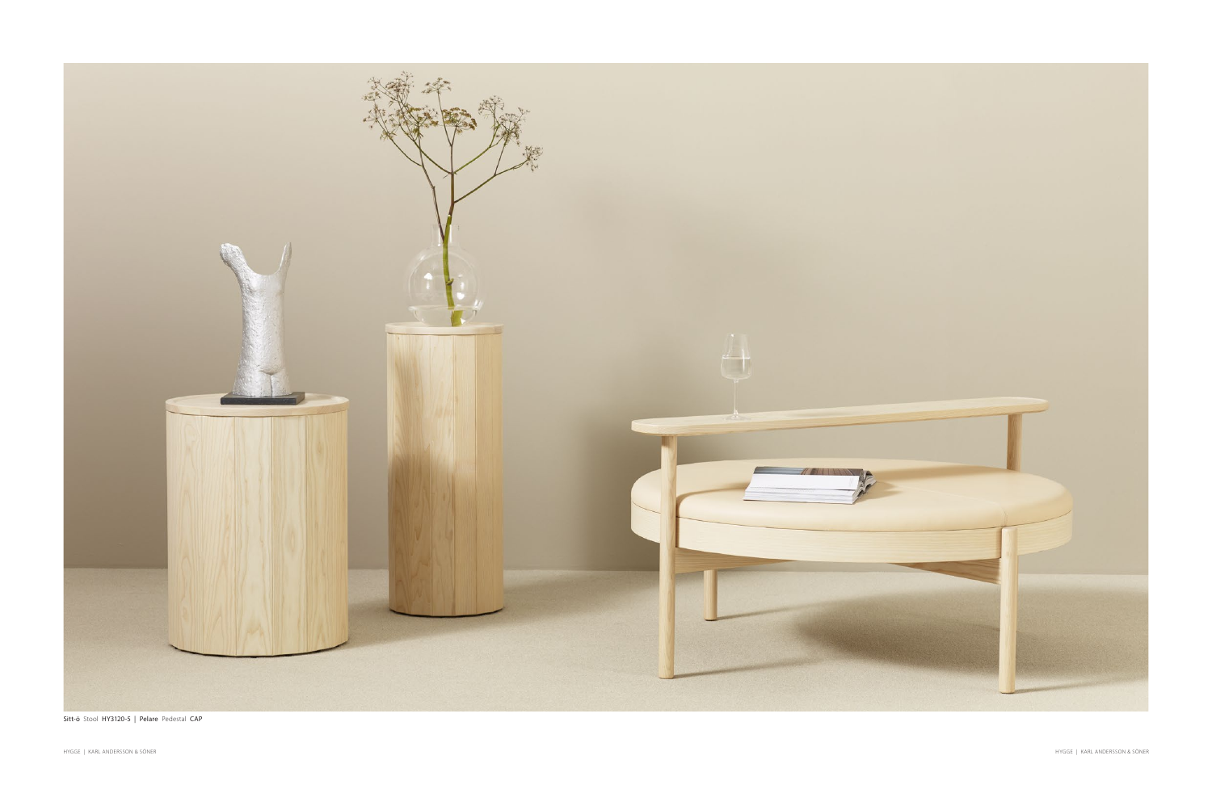

Sitt-ö Stool HY3120-5 | Pelare Pedestal CAP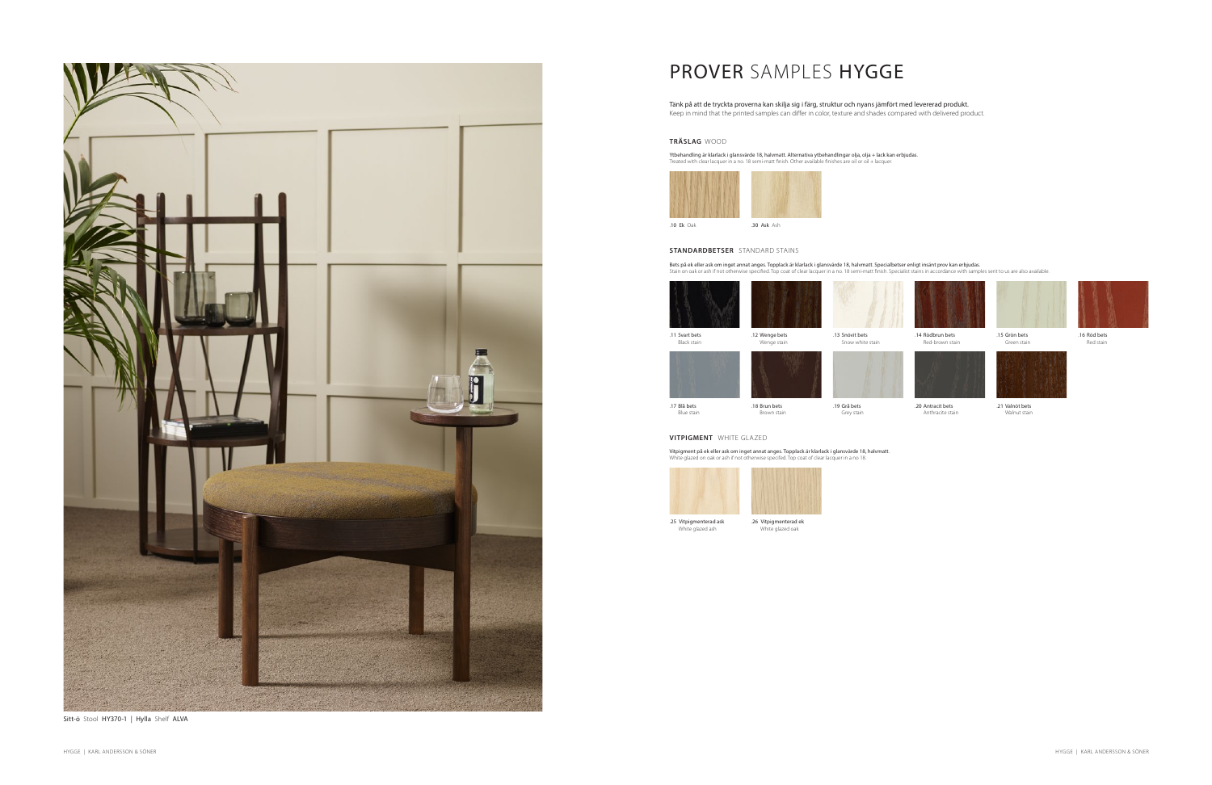# PROVER SAMPLES HYGGE

Tänk på att de tryckta proverna kan skilja sig i färg, struktur och nyans jämfört med levererad produkt. Keep in mind that the printed samples can differ in color, texture and shades compared with delivered product.

### **STANDARDBETSER** STANDARD STAINS

Bets på ek eller ask om inget annat anges. Topplack är klarlack i glansvärde 18, halvmatt. Specialbetser enligt insänt prov kan erbjudas.<br>Stain on oak or ash if not otherwise specified. Top coat of clear lacquer in a no. 1



.20 Antracit bets Anthracite stain



.21 Valnöt bets Walnut stain



.14 Rödbrun bets Red-brown stain



Green stain





.16 Röd bets Red stain

#### **TRÄSLAG** WOOD

Ytbehandling är klarlack i glansvärde 18, halvmatt. Alternativa ytbehandlingar olja, olja + lack kan erbjudas. Treated with clear lacquer in a no. 18 semi-matt finish. Other available finishes are oil or oil + lacquer.



#### **VITPIGMENT** WHITE GLAZED

Vitpigment på ek eller ask om inget annat anges. Topplack är klarlack i glansvärde 18, halvmatt. White glazed on oak or ash if not otherwise specifed. Top coat of clear lacquer in a no 18.









Sitt-ö Stool HY370-1 | Hylla Shelf ALVA